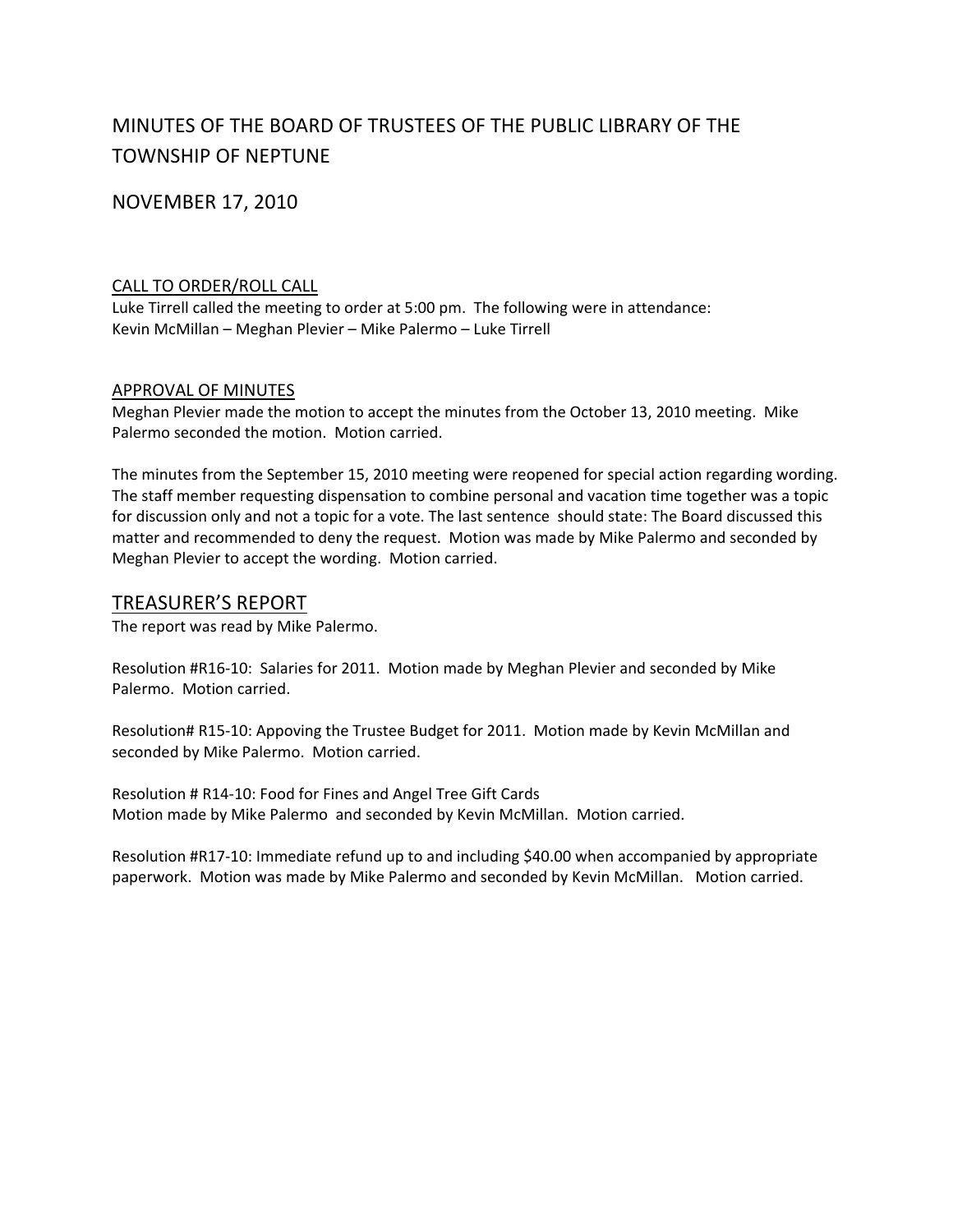# MINUTES OF THE BOARD OF TRUSTEES OF THE PUBLIC LIBRARY OF THE TOWNSHIP OF NEPTUNE

NOVEMBER 17, 2010

### CALL TO ORDER/ROLL CALL

Luke Tirrell called the meeting to order at 5:00 pm. The following were in attendance: Kevin McMillan – Meghan Plevier – Mike Palermo – Luke Tirrell

### APPROVAL OF MINUTES

Meghan Plevier made the motion to accept the minutes from the October 13, 2010 meeting. Mike Palermo seconded the motion. Motion carried.

The minutes from the September 15, 2010 meeting were reopened for special action regarding wording. The staff member requesting dispensation to combine personal and vacation time together was a topic for discussion only and not a topic for a vote. The last sentence should state: The Board discussed this matter and recommended to deny the request. Motion was made by Mike Palermo and seconded by Meghan Plevier to accept the wording. Motion carried.

### TREASURER'S REPORT

The report was read by Mike Palermo.

Resolution #R16‐10: Salaries for 2011. Motion made by Meghan Plevier and seconded by Mike Palermo. Motion carried.

Resolution# R15‐10: Appoving the Trustee Budget for 2011. Motion made by Kevin McMillan and seconded by Mike Palermo. Motion carried.

Resolution # R14‐10: Food for Fines and Angel Tree Gift Cards Motion made by Mike Palermo and seconded by Kevin McMillan. Motion carried.

Resolution #R17‐10: Immediate refund up to and including \$40.00 when accompanied by appropriate paperwork. Motion was made by Mike Palermo and seconded by Kevin McMillan. Motion carried.